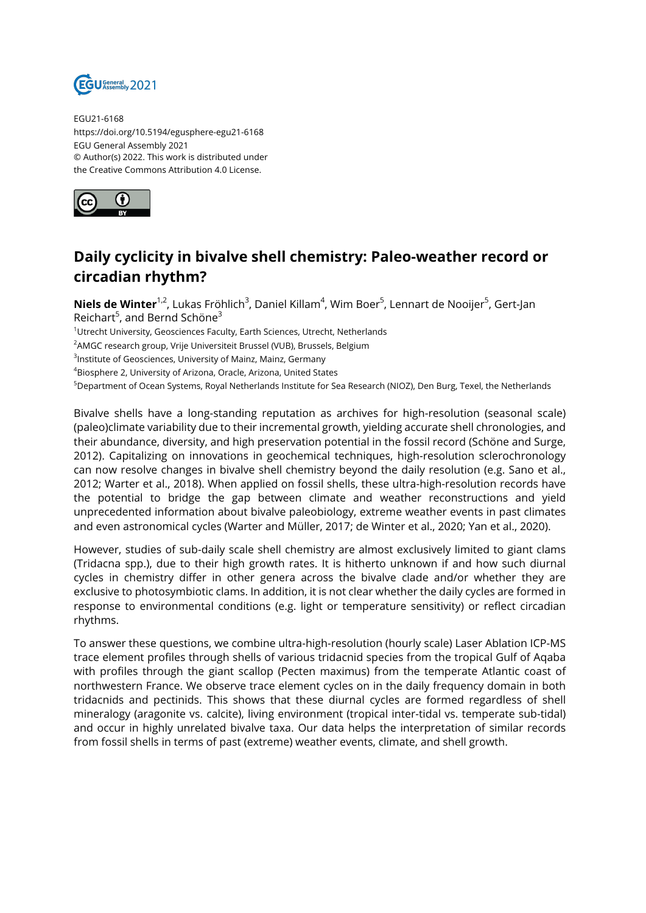

EGU21-6168 https://doi.org/10.5194/egusphere-egu21-6168 EGU General Assembly 2021 © Author(s) 2022. This work is distributed under the Creative Commons Attribution 4.0 License.



## **Daily cyclicity in bivalve shell chemistry: Paleo-weather record or circadian rhythm?**

**Niels de Winter**<sup>1,2</sup>, Lukas Fröhlich<sup>3</sup>, Daniel Killam<sup>4</sup>, Wim Boer<sup>5</sup>, Lennart de Nooijer<sup>5</sup>, Gert-Jan Reichart<sup>5</sup>, and Bernd Schöne<sup>3</sup>

<sup>1</sup>Utrecht University, Geosciences Faculty, Earth Sciences, Utrecht, Netherlands

<sup>2</sup> AMGC research group, Vrije Universiteit Brussel (VUB), Brussels, Belgium

<sup>3</sup>lnstitute of Geosciences, University of Mainz, Mainz, Germany

<sup>4</sup>Biosphere 2, University of Arizona, Oracle, Arizona, United States

<sup>5</sup>Department of Ocean Systems, Royal Netherlands Institute for Sea Research (NIOZ), Den Burg, Texel, the Netherlands

Bivalve shells have a long-standing reputation as archives for high-resolution (seasonal scale) (paleo)climate variability due to their incremental growth, yielding accurate shell chronologies, and their abundance, diversity, and high preservation potential in the fossil record (Schöne and Surge, 2012). Capitalizing on innovations in geochemical techniques, high-resolution sclerochronology can now resolve changes in bivalve shell chemistry beyond the daily resolution (e.g. Sano et al., 2012; Warter et al., 2018). When applied on fossil shells, these ultra-high-resolution records have the potential to bridge the gap between climate and weather reconstructions and yield unprecedented information about bivalve paleobiology, extreme weather events in past climates and even astronomical cycles (Warter and Müller, 2017; de Winter et al., 2020; Yan et al., 2020).

However, studies of sub-daily scale shell chemistry are almost exclusively limited to giant clams (Tridacna spp.), due to their high growth rates. It is hitherto unknown if and how such diurnal cycles in chemistry differ in other genera across the bivalve clade and/or whether they are exclusive to photosymbiotic clams. In addition, it is not clear whether the daily cycles are formed in response to environmental conditions (e.g. light or temperature sensitivity) or reflect circadian rhythms.

To answer these questions, we combine ultra-high-resolution (hourly scale) Laser Ablation ICP-MS trace element profiles through shells of various tridacnid species from the tropical Gulf of Aqaba with profiles through the giant scallop (Pecten maximus) from the temperate Atlantic coast of northwestern France. We observe trace element cycles on in the daily frequency domain in both tridacnids and pectinids. This shows that these diurnal cycles are formed regardless of shell mineralogy (aragonite vs. calcite), living environment (tropical inter-tidal vs. temperate sub-tidal) and occur in highly unrelated bivalve taxa. Our data helps the interpretation of similar records from fossil shells in terms of past (extreme) weather events, climate, and shell growth.